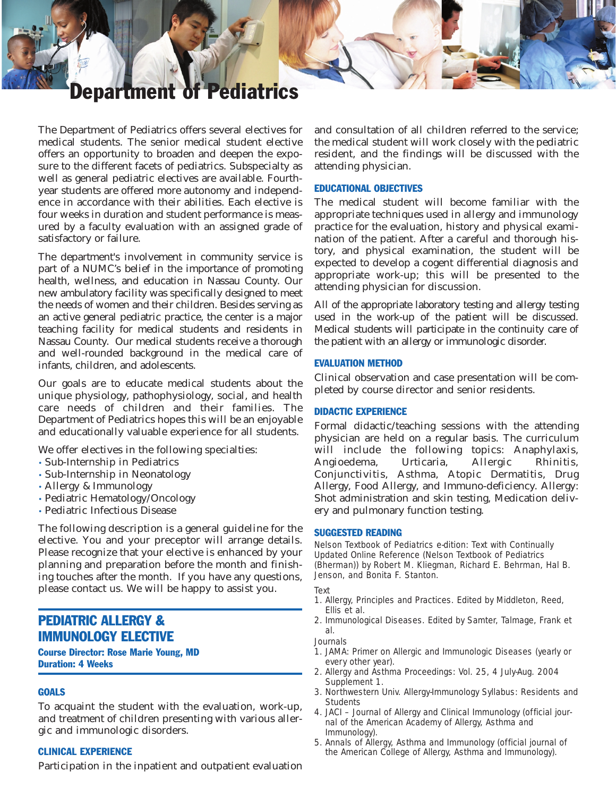# Department of Pediatrics

The Department of Pediatrics offers several electives for medical students. The senior medical student elective offers an opportunity to broaden and deepen the exposure to the different facets of pediatrics. Subspecialty as well as general pediatric electives are available. Fourthyear students are offered more autonomy and independence in accordance with their abilities. Each elective is four weeks in duration and student performance is measured by a faculty evaluation with an assigned grade of satisfactory or failure.

The department's involvement in community service is part of a NUMC's belief in the importance of promoting health, wellness, and education in Nassau County. Our new ambulatory facility was specifically designed to meet the needs of women and their children. Besides serving as an active general pediatric practice, the center is a major teaching facility for medical students and residents in Nassau County. Our medical students receive a thorough and well-rounded background in the medical care of infants, children, and adolescents.

Our goals are to educate medical students about the unique physiology, pathophysiology, social, and health care needs of children and their families. The Department of Pediatrics hopes this will be an enjoyable and educationally valuable experience for all students.

We offer electives in the following specialties:

- Sub-Internship in Pediatrics
- Sub-Internship in Neonatology
- Allergy & Immunology
- Pediatric Hematology/Oncology
- Pediatric Infectious Disease

The following description is a general guideline for the elective. You and your preceptor will arrange details. Please recognize that your elective is enhanced by your planning and preparation before the month and finishing touches after the month. If you have any questions, please contact us. We will be happy to assist you.

## PEDIATRIC ALLERGY & IMMUNOLOGY ELECTIVE

Course Director: Rose Marie Young, MD Duration: 4 Weeks

### **GOALS**

To acquaint the student with the evaluation, work-up, and treatment of children presenting with various allergic and immunologic disorders.

#### CLINICAL EXPERIENCE

Participation in the inpatient and outpatient evaluation

and consultation of all children referred to the service; the medical student will work closely with the pediatric resident, and the findings will be discussed with the attending physician.

### EDUCATIONAL OBJECTIVES

The medical student will become familiar with the appropriate techniques used in allergy and immunology practice for the evaluation, history and physical examination of the patient. After a careful and thorough history, and physical examination, the student will be expected to develop a cogent differential diagnosis and appropriate work-up; this will be presented to the attending physician for discussion.

All of the appropriate laboratory testing and allergy testing used in the work-up of the patient will be discussed. Medical students will participate in the continuity care of the patient with an allergy or immunologic disorder.

#### EVALUATION METHOD

Clinical observation and case presentation will be completed by course director and senior residents.

#### DIDACTIC EXPERIENCE

Formal didactic/teaching sessions with the attending physician are held on a regular basis. The curriculum will include the following topics: Anaphylaxis, Angioedema, Urticaria, Allergic Rhinitis, Conjunctivitis, Asthma, Atopic Dermatitis, Drug Allergy, Food Allergy, and Immuno-deficiency. Allergy: Shot administration and skin testing, Medication delivery and pulmonary function testing.

#### SUGGESTED READING

*Nelson Textbook of Pediatrics e-dition: Text with Continually Updated Online Reference* (Nelson Textbook of Pediatrics (Bherman)) by Robert M. Kliegman, Richard E. Behrman, Hal B. Jenson, and Bonita F. Stanton.

Text

- 1. *Allergy, Principles and Practices.* Edited by Middleton, Reed, Ellis et al.
- 2. *Immunological Diseases.* Edited by Samter, Talmage, Frank et al.

Journals

- 1. *JAMA: Primer on Allergic and Immunologic Diseases* (yearly or every other year).
- 2. *Allergy and Asthma Proceedings: Vol. 25, 4 July-Aug.* 2004 Supplement 1.
- 3. *Northwestern Univ. Allergy-Immunology Syllabus: Residents and Students*
- 4. *JACI Journal of Allergy and Clinical Immunology* (official journal of the American Academy of Allergy, Asthma and Immunology).
- 5. *Annals of Allergy, Asthma and Immunology* (official journal of the American College of Allergy, Asthma and Immunology).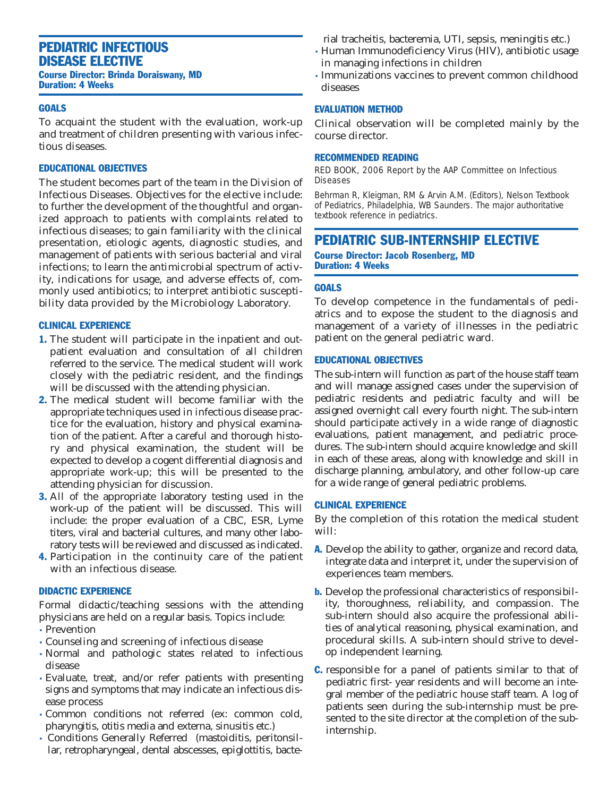## PEDIATRIC INFECTIOUS DISEASE ELECTIVE

Course Director: Brinda Doraiswany, MD Duration: 4 Weeks

### **GOALS**

To acquaint the student with the evaluation, work-up and treatment of children presenting with various infectious diseases.

## EDUCATIONAL OBJECTIVES

The student becomes part of the team in the Division of Infectious Diseases. Objectives for the elective include: to further the development of the thoughtful and organized approach to patients with complaints related to infectious diseases; to gain familiarity with the clinical presentation, etiologic agents, diagnostic studies, and management of patients with serious bacterial and viral infections; to learn the antimicrobial spectrum of activity, indications for usage, and adverse effects of, commonly used antibiotics; to interpret antibiotic susceptibility data provided by the Microbiology Laboratory.

#### CLINICAL EXPERIENCE

- 1. The student will participate in the inpatient and outpatient evaluation and consultation of all children referred to the service. The medical student will work closely with the pediatric resident, and the findings will be discussed with the attending physician.
- 2. The medical student will become familiar with the appropriate techniques used in infectious disease practice for the evaluation, history and physical examination of the patient. After a careful and thorough history and physical examination, the student will be expected to develop a cogent differential diagnosis and appropriate work-up; this will be presented to the attending physician for discussion.
- 3. All of the appropriate laboratory testing used in the work-up of the patient will be discussed. This will include: the proper evaluation of a CBC, ESR, Lyme titers, viral and bacterial cultures, and many other laboratory tests will be reviewed and discussed as indicated.
- 4. Participation in the continuity care of the patient with an infectious disease.

#### DIDACTIC EXPERIENCE

Formal didactic/teaching sessions with the attending physicians are held on a regular basis. Topics include: • Prevention

- Counseling and screening of infectious disease
- Normal and pathologic states related to infectious disease
- Evaluate, treat, and/or refer patients with presenting signs and symptoms that may indicate an infectious disease process
- Common conditions not referred (ex: common cold, pharyngitis, otitis media and externa, sinusitis etc.)
- Conditions Generally Referred (mastoiditis, peritonsillar, retropharyngeal, dental abscesses, epiglottitis, bacte-

rial tracheitis, bacteremia, UTI, sepsis, meningitis etc.)

- Human Immunodeficiency Virus (HIV), antibiotic usage in managing infections in children
- Immunizations vaccines to prevent common childhood diseases

#### EVALUATION METHOD

Clinical observation will be completed mainly by the course director.

#### RECOMMENDED READING

*RED BOOK, 2006 Report by the AAP Committee on Infectious Diseases*

Behrman R, Kleigman, RM & Arvin A.M. (Editors), *Nelson Textbook of Pediatrics,* Philadelphia, WB Saunders. The major authoritative textbook reference in pediatrics.

## PEDIATRIC SUB-INTERNSHIP ELECTIVE Course Director: Jacob Rosenberg, MD Duration: 4 Weeks

#### **GOALS**

To develop competence in the fundamentals of pediatrics and to expose the student to the diagnosis and management of a variety of illnesses in the pediatric patient on the general pediatric ward.

### EDUCATIONAL OBJECTIVES

The sub-intern will function as part of the house staff team and will manage assigned cases under the supervision of pediatric residents and pediatric faculty and will be assigned overnight call every fourth night. The sub-intern should participate actively in a wide range of diagnostic evaluations, patient management, and pediatric procedures. The sub-intern should acquire knowledge and skill in each of these areas, along with knowledge and skill in discharge planning, ambulatory, and other follow-up care for a wide range of general pediatric problems.

#### CLINICAL EXPERIENCE

By the completion of this rotation the medical student will:

- A. Develop the ability to gather, organize and record data, integrate data and interpret it, under the supervision of experiences team members.
- b. Develop the professional characteristics of responsibility, thoroughness, reliability, and compassion. The sub-intern should also acquire the professional abilities of analytical reasoning, physical examination, and procedural skills. A sub-intern should strive to develop independent learning.
- C. responsible for a panel of patients similar to that of pediatric first- year residents and will become an integral member of the pediatric house staff team. A log of patients seen during the sub-internship must be presented to the site director at the completion of the subinternship.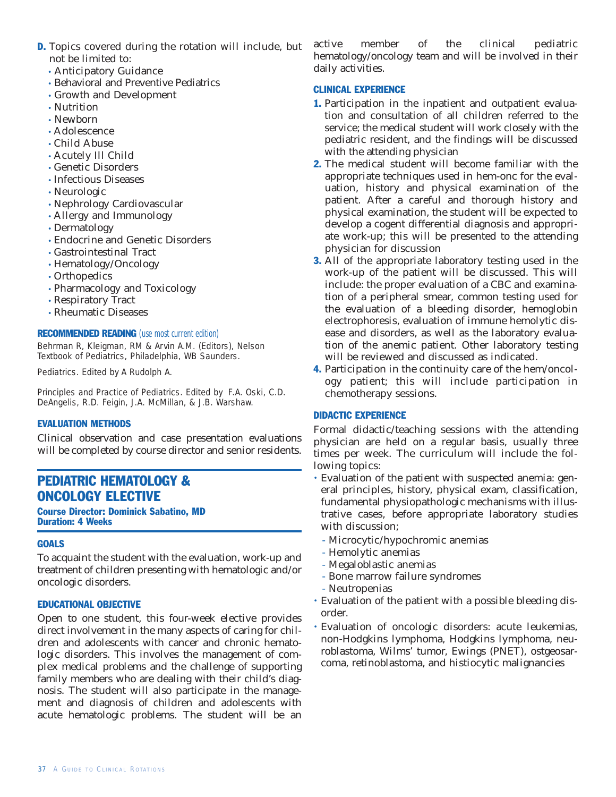- **D.** Topics covered during the rotation will include, but not be limited to:
	- Anticipatory Guidance
	- Behavioral and Preventive Pediatrics
	- Growth and Development
	- Nutrition
	- Newborn
	- Adolescence
	- Child Abuse
	- Acutely Ill Child
	- Genetic Disorders
	- Infectious Diseases
	- Neurologic
	- Nephrology Cardiovascular
	- Allergy and Immunology
	- Dermatology
	- Endocrine and Genetic Disorders
	- Gastrointestinal Tract
	- Hematology/Oncology
	- Orthopedics
	- Pharmacology and Toxicology
	- Respiratory Tract
	- Rheumatic Diseases

## RECOMMENDED READING (use most current edition)

Behrman R, Kleigman, RM & Arvin A.M. (Editors), *Nelson Textbook of Pediatrics,* Philadelphia, WB Saunders.

*Pediatrics.* Edited by A Rudolph A.

*Principles and Practice of Pediatrics. Edited by* F.A. Oski, C.D. DeAngelis, R.D. Feigin, J.A. McMillan, & J.B. Warshaw.

## EVALUATION METHODS

Clinical observation and case presentation evaluations will be completed by course director and senior residents.

## PEDIATRIC HEMATOLOGY & ONCOLOGY ELECTIVE

Course Director: Dominick Sabatino, MD Duration: 4 Weeks

## **GOALS**

To acquaint the student with the evaluation, work-up and treatment of children presenting with hematologic and/or oncologic disorders.

## EDUCATIONAL OBJECTIVE

Open to one student, this four-week elective provides direct involvement in the many aspects of caring for children and adolescents with cancer and chronic hematologic disorders. This involves the management of complex medical problems and the challenge of supporting family members who are dealing with their child's diagnosis. The student will also participate in the management and diagnosis of children and adolescents with acute hematologic problems. The student will be an active member of the clinical pediatric hematology/oncology team and will be involved in their daily activities.

## CLINICAL EXPERIENCE

- 1. Participation in the inpatient and outpatient evaluation and consultation of all children referred to the service; the medical student will work closely with the pediatric resident, and the findings will be discussed with the attending physician
- 2. The medical student will become familiar with the appropriate techniques used in hem-onc for the evaluation, history and physical examination of the patient. After a careful and thorough history and physical examination, the student will be expected to develop a cogent differential diagnosis and appropriate work-up; this will be presented to the attending physician for discussion
- **3.** All of the appropriate laboratory testing used in the work-up of the patient will be discussed. This will include: the proper evaluation of a CBC and examination of a peripheral smear, common testing used for the evaluation of a bleeding disorder, hemoglobin electrophoresis, evaluation of immune hemolytic disease and disorders, as well as the laboratory evaluation of the anemic patient. Other laboratory testing will be reviewed and discussed as indicated.
- 4. Participation in the continuity care of the hem/oncology patient; this will include participation in chemotherapy sessions.

## DIDACTIC EXPERIENCE

Formal didactic/teaching sessions with the attending physician are held on a regular basis, usually three times per week. The curriculum will include the following topics:

- Evaluation of the patient with suspected anemia: general principles, history, physical exam, classification, fundamental physiopathologic mechanisms with illustrative cases, before appropriate laboratory studies with discussion;
	- Microcytic/hypochromic anemias
	- Hemolytic anemias
	- Megaloblastic anemias
	- Bone marrow failure syndromes
	- Neutropenias
- Evaluation of the patient with a possible bleeding disorder.
- Evaluation of oncologic disorders: acute leukemias, non-Hodgkins lymphoma, Hodgkins lymphoma, neuroblastoma, Wilms' tumor, Ewings (PNET), ostgeosarcoma, retinoblastoma, and histiocytic malignancies